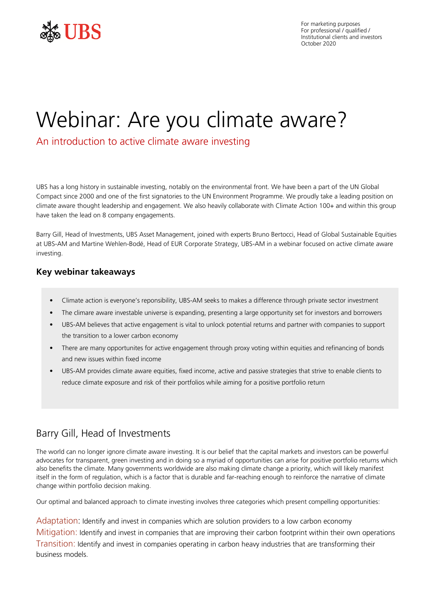

For marketing purposes For professional / qualified / Institutional clients and investors October 2020

# Webinar: Are you climate aware?

An introduction to active climate aware investing

UBS has a long history in sustainable investing, notably on the environmental front. We have been a part of the UN Global Compact since 2000 and one of the first signatories to the UN Environment Programme. We proudly take a leading position on climate aware thought leadership and engagement. We also heavily collaborate with Climate Action 100+ and within this group have taken the lead on 8 company engagements.

Barry Gill, Head of Investments, UBS Asset Management, joined with experts Bruno Bertocci, Head of Global Sustainable Equities at UBS-AM and Martine Wehlen-Bodé, Head of EUR Corporate Strategy, UBS-AM in a webinar focused on active climate aware investing.

# **Key webinar takeaways**

- Climate action is everyone's reponsibility, UBS-AM seeks to makes a difference through private sector investment
- The climare aware investable universe is expanding, presenting a large opportunity set for investors and borrowers
- UBS-AM believes that active engagement is vital to unlock potential returns and partner with companies to support the transition to a lower carbon economy
- There are many opportunites for active engagement through proxy voting within equities and refinancing of bonds and new issues within fixed income
- UBS-AM provides climate aware equities, fixed income, active and passive strategies that strive to enable clients to reduce climate exposure and risk of their portfolios while aiming for a positive portfolio return

# Barry Gill, Head of Investments

The world can no longer ignore climate aware investing. It is our belief that the capital markets and investors can be powerful advocates for transparent, green investing and in doing so a myriad of opportunities can arise for positive portfolio returns which also benefits the climate. Many governments worldwide are also making climate change a priority, which will likely manifest itself in the form of regulation, which is a factor that is durable and far-reaching enough to reinforce the narrative of climate change within portfolio decision making.

Our optimal and balanced approach to climate investing involves three categories which present compelling opportunities:

Adaptation: Identify and invest in companies which are solution providers to a low carbon economy Mitigation: Identify and invest in companies that are improving their carbon footprint within their own operations Transition: Identify and invest in companies operating in carbon heavy industries that are transforming their business models.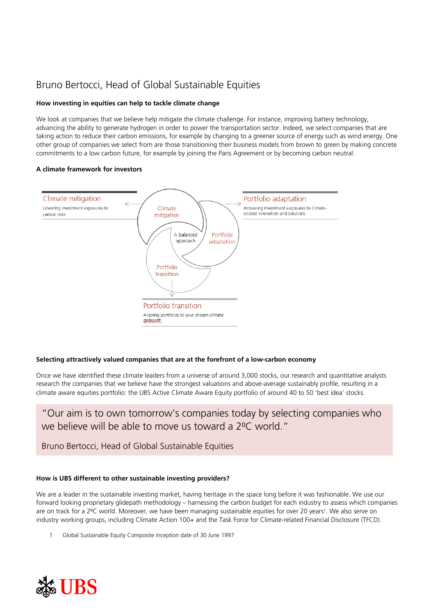# Bruno Bertocci, Head of Global Sustainable Equities

# **How investing in equities can help to tackle climate change**

We look at companies that we believe help mitigate the climate challenge. For instance, improving battery technology, advancing the ability to generate hydrogen in order to power the transportation sector. Indeed, we select companies that are taking action to reduce their carbon emissions, for example by changing to a greener source of energy such as wind energy. One other group of companies we select from are those transitioning their business models from brown to green by making concrete commitments to a low carbon future, for example by joining the Paris Agreement or by becoming carbon neutral.

# **A climate framework for investors**



# **Selecting attractively valued companies that are at the forefront of a low-carbon economy**

Once we have identified these climate leaders from a universe of around 3,000 stocks, our research and quantitative analysts research the companies that we believe have the strongest valuations and above-average sustainably profile, resulting in a climate aware equities portfolio: the UBS Active Climate Aware Equity portfolio of around 40 to 50 'best idea' stocks.

# "Our aim is to own tomorrow's companies today by selecting companies who we believe will be able to move us toward a 2<sup>o</sup>C world."

Bruno Bertocci, Head of Global Sustainable Equities

# **How is UBS different to other sustainable investing providers?**

We are a leader in the sustainable investing market, having heritage in the space long before it was fashionable. We use our forward looking proprietary glidepath methodology – harnessing the carbon budget for each industry to assess which companies are on track for a 2°C world. Moreover, we have been managing sustainable equities for over 20 years<sup>1</sup>. We also serve on industry working groups, including Climate Action 100+ and the Task Force for Climate-related Financial Disclosure (TFCD).

1 Global Sustainable Equity Composite inception date of 30 June 1997

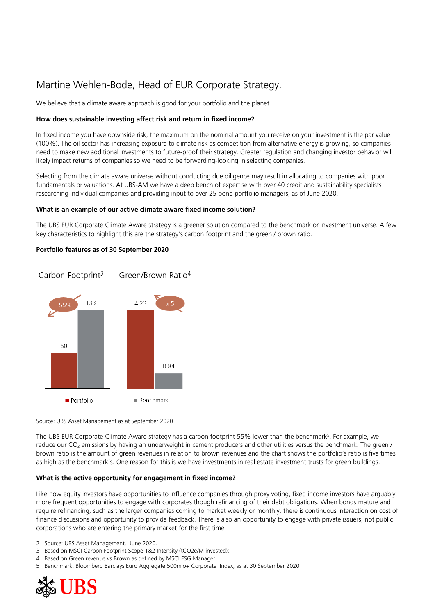# Martine Wehlen-Bode, Head of EUR Corporate Strategy.

We believe that a climate aware approach is good for your portfolio and the planet.

## **How does sustainable investing affect risk and return in fixed income?**

In fixed income you have downside risk, the maximum on the nominal amount you receive on your investment is the par value (100%). The oil sector has increasing exposure to climate risk as competition from alternative energy is growing, so companies need to make new additional investments to future-proof their strategy. Greater regulation and changing investor behavior will likely impact returns of companies so we need to be forwarding-looking in selecting companies.

Selecting from the climate aware universe without conducting due diligence may result in allocating to companies with poor fundamentals or valuations. At UBS-AM we have a deep bench of expertise with over 40 credit and sustainability specialists researching individual companies and providing input to over 25 bond portfolio managers, as of June 2020.

#### **What is an example of our active climate aware fixed income solution?**

The UBS EUR Corporate Climate Aware strategy is a greener solution compared to the benchmark or investment universe. A few key characteristics to highlight this are the strategy's carbon footprint and the green / brown ratio.

## **Portfolio features as of 30 September 2020**



#### Source: UBS Asset Management as at September 2020

The UBS EUR Corporate Climate Aware strategy has a carbon footprint 55% lower than the benchmark<sup>5</sup>. For example, we reduce our  $CO<sub>2</sub>$  emissions by having an underweight in cement producers and other utilities versus the benchmark. The green / brown ratio is the amount of green revenues in relation to brown revenues and the chart shows the portfolio's ratio is five times as high as the benchmark's. One reason for this is we have investments in real estate investment trusts for green buildings.

#### **What is the active opportunity for engagement in fixed income?**

Like how equity investors have opportunities to influence companies through proxy voting, fixed income investors have arguably more frequent opportunities to engage with corporates though refinancing of their debt obligations. When bonds mature and require refinancing, such as the larger companies coming to market weekly or monthly, there is continuous interaction on cost of finance discussions and opportunity to provide feedback. There is also an opportunity to engage with private issuers, not public corporations who are entering the primary market for the first time.

2 Source: UBS Asset Management, June 2020.

- 3 Based on MSCI Carbon Footprint Scope 1&2 Intensity (tCO2e/M invested);
- 4 Based on Green revenue vs Brown as defined by MSCI ESG Manager.
- 5 Benchmark: Bloomberg Barclays Euro Aggregate 500mio+ Corporate Index, as at 30 September 2020

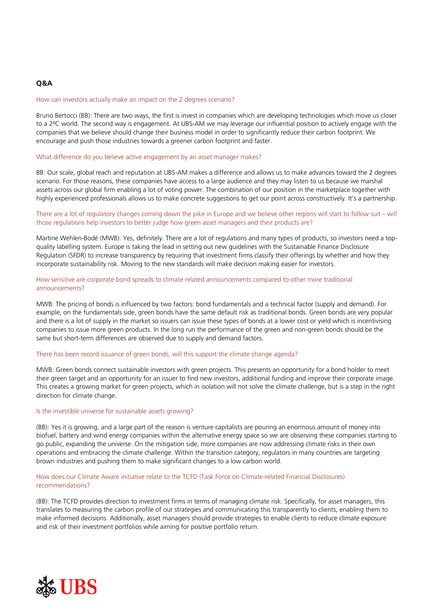# **Q&A**

#### How can investors actually make an impact on the 2 degrees scenario?

Bruno Bertocci (BB): There are two ways, the first is invest in companies which are developing technologies which move us closer to a 2ºC world. The second way is engagement. At UBS-AM we may leverage our influential position to actively engage with the companies that we believe should change their business model in order to significantly reduce their carbon footprint. We encourage and push those industries towards a greener carbon footprint and faster.

#### What difference do you believe active engagement by an asset manager makes?

BB: Our scale, global reach and reputation at UBS-AM makes a difference and allows us to make advances toward the 2 degrees scenario. For those reasons, these companies have access to a large audience and they may listen to us because we marshal assets across our global firm enabling a lot of voting power. The combination of our position in the marketplace together with highly experienced professionals allows us to make concrete suggestions to get our point across constructively. It's a partnership.

There are a lot of regulatory changes coming down the pike in Europe and we believe other regions will start to follow suit – will those regulations help investors to better judge how green asset managers and their products are?

Martine Wehlen-Bodé (MWB): Yes, definitely. There are a lot of regulations and many types of products, so investors need a topquality labelling system. Europe is taking the lead in setting out new guidelines with the Sustainable Finance Disclosure Regulation (SFDR) to increase transparency by requiring that investment firms classify their offerings by whether and how they incorporate sustainability risk. Moving to the new standards will make decision making easier for investors.

#### How sensitive are corporate bond spreads to climate related announcements compared to other more traditional announcements?

MWB: The pricing of bonds is influenced by two factors: bond fundamentals and a technical factor (supply and demand). For example, on the fundamentals side, green bonds have the same default risk as traditional bonds. Green bonds are very popular and there is a lot of supply in the market so issuers can issue these types of bonds at a lower cost or yield which is incentivising companies to issue more green products. In the long run the performance of the green and non-green bonds should be the same but short-term differences are observed due to supply and demand factors.

#### There has been record issuance of green bonds, will this support the climate change agenda?

MWB: Green bonds connect sustainable investors with green projects. This presents an opportunity for a bond holder to meet their green target and an opportunity for an issuer to find new investors, additional funding and improve their corporate image. This creates a growing market for green projects, which in isolation will not solve the climate challenge, but is a step in the right direction for climate change.

#### Is the investible universe for sustainable assets growing?

(BB): Yes it is growing, and a large part of the reason is venture capitalists are pouring an enormous amount of money into biofuel, battery and wind energy companies within the alternative energy space so we are observing these companies starting to go public, expanding the universe. On the mitigation side, more companies are now addressing climate risks in their own operations and embracing the climate challenge. Within the transition category, regulators in many countries are targeting brown industries and pushing them to make significant changes to a low carbon world.

## How does our Climate Aware initiative relate to the TCFD (Task Force on Climate-related Financial Disclosures) recommendations?

(BB): The TCFD provides direction to investment firms in terms of managing climate risk. Specifically, for asset managers, this translates to measuring the carbon profile of our strategies and communicating this transparently to clients, enabling them to make informed decisions. Additionally, asset managers should provide strategies to enable clients to reduce climate exposure and risk of their investment portfolios while aiming for positive portfolio return.

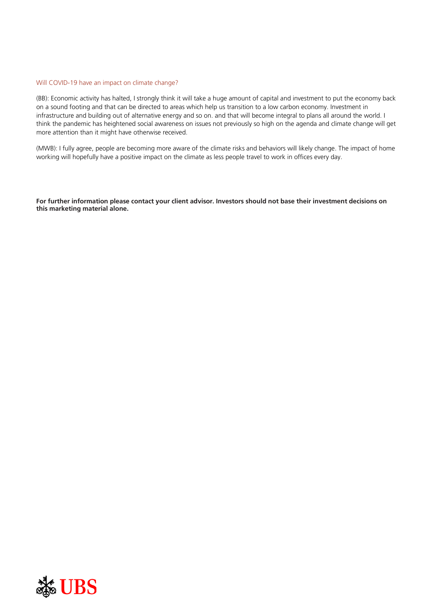#### Will COVID-19 have an impact on climate change?

(BB): Economic activity has halted, I strongly think it will take a huge amount of capital and investment to put the economy back on a sound footing and that can be directed to areas which help us transition to a low carbon economy. Investment in infrastructure and building out of alternative energy and so on. and that will become integral to plans all around the world. I think the pandemic has heightened social awareness on issues not previously so high on the agenda and climate change will get more attention than it might have otherwise received.

(MWB): I fully agree, people are becoming more aware of the climate risks and behaviors will likely change. The impact of home working will hopefully have a positive impact on the climate as less people travel to work in offices every day.

For further information please contact your client advisor. Investors should not base their investment decisions on **this marketing material alone.**